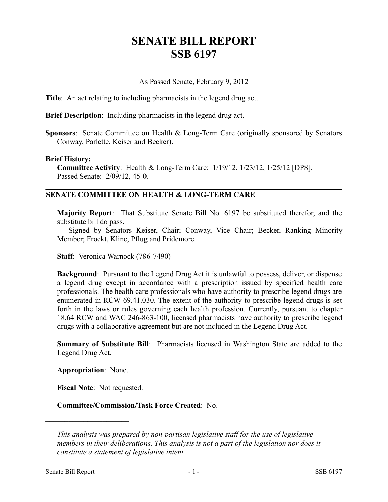## **SENATE BILL REPORT SSB 6197**

## As Passed Senate, February 9, 2012

**Title**: An act relating to including pharmacists in the legend drug act.

**Brief Description**: Including pharmacists in the legend drug act.

**Sponsors**: Senate Committee on Health & Long-Term Care (originally sponsored by Senators Conway, Parlette, Keiser and Becker).

## **Brief History:**

**Committee Activity**: Health & Long-Term Care: 1/19/12, 1/23/12, 1/25/12 [DPS]. Passed Senate: 2/09/12, 45-0.

## **SENATE COMMITTEE ON HEALTH & LONG-TERM CARE**

**Majority Report**: That Substitute Senate Bill No. 6197 be substituted therefor, and the substitute bill do pass.

Signed by Senators Keiser, Chair; Conway, Vice Chair; Becker, Ranking Minority Member; Frockt, Kline, Pflug and Pridemore.

**Staff**: Veronica Warnock (786-7490)

**Background**: Pursuant to the Legend Drug Act it is unlawful to possess, deliver, or dispense a legend drug except in accordance with a prescription issued by specified health care professionals. The health care professionals who have authority to prescribe legend drugs are enumerated in RCW 69.41.030. The extent of the authority to prescribe legend drugs is set forth in the laws or rules governing each health profession. Currently, pursuant to chapter 18.64 RCW and WAC 246-863-100, licensed pharmacists have authority to prescribe legend drugs with a collaborative agreement but are not included in the Legend Drug Act.

**Summary of Substitute Bill**: Pharmacists licensed in Washington State are added to the Legend Drug Act.

**Appropriation**: None.

––––––––––––––––––––––

**Fiscal Note**: Not requested.

**Committee/Commission/Task Force Created**: No.

*This analysis was prepared by non-partisan legislative staff for the use of legislative members in their deliberations. This analysis is not a part of the legislation nor does it constitute a statement of legislative intent.*